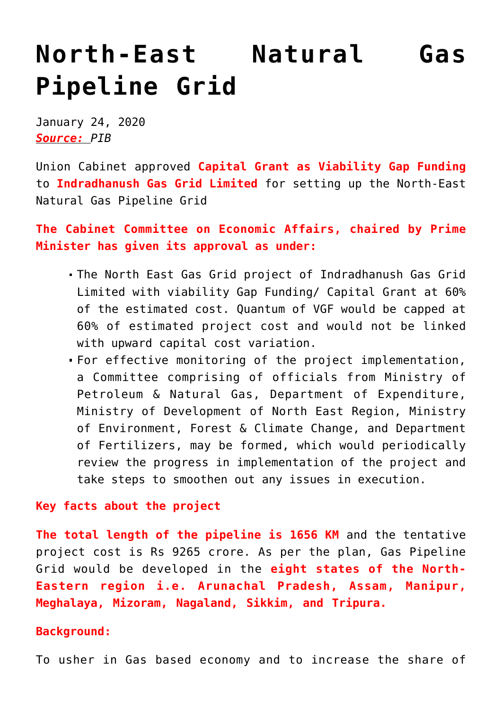## **[North-East Natural Gas](https://journalsofindia.com/north-east-natural-gas-pipeline-grid/) [Pipeline Grid](https://journalsofindia.com/north-east-natural-gas-pipeline-grid/)**

January 24, 2020 *Source: PIB*

Union Cabinet approved **Capital Grant as Viability Gap Funding** to **Indradhanush Gas Grid Limited** for setting up the North-East Natural Gas Pipeline Grid

**The Cabinet Committee on Economic Affairs, chaired by Prime Minister has given its approval as under:**

- The North East Gas Grid project of Indradhanush Gas Grid Limited with viability Gap Funding/ Capital Grant at 60% of the estimated cost. Quantum of VGF would be capped at 60% of estimated project cost and would not be linked with upward capital cost variation.
- For effective monitoring of the project implementation, a Committee comprising of officials from Ministry of Petroleum & Natural Gas, Department of Expenditure, Ministry of Development of North East Region, Ministry of Environment, Forest & Climate Change, and Department of Fertilizers, may be formed, which would periodically review the progress in implementation of the project and take steps to smoothen out any issues in execution.

## **Key facts about the project**

**The total length of the pipeline is 1656 KM** and the tentative project cost is Rs 9265 crore. As per the plan, Gas Pipeline Grid would be developed in the **eight states of the North-Eastern region i.e. Arunachal Pradesh, Assam, Manipur, Meghalaya, Mizoram, Nagaland, Sikkim, and Tripura.**

## **Background:**

To usher in Gas based economy and to increase the share of